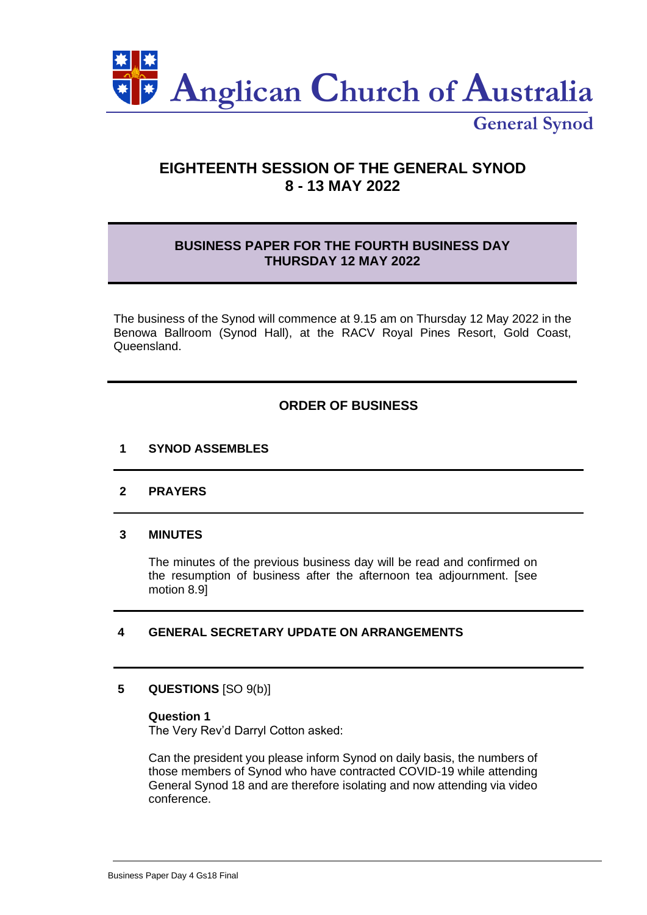

**General Synod**

# **EIGHTEENTH SESSION OF THE GENERAL SYNOD 8 - 13 MAY 2022**

## **BUSINESS PAPER FOR THE FOURTH BUSINESS DAY THURSDAY 12 MAY 2022**

The business of the Synod will commence at 9.15 am on Thursday 12 May 2022 in the Benowa Ballroom (Synod Hall), at the RACV Royal Pines Resort, Gold Coast, Queensland.

## **ORDER OF BUSINESS**

## **1 SYNOD ASSEMBLES**

## **2 PRAYERS**

## **3 MINUTES**

The minutes of the previous business day will be read and confirmed on the resumption of business after the afternoon tea adjournment. [see motion 8.9]

## **4 GENERAL SECRETARY UPDATE ON ARRANGEMENTS**

## **5 QUESTIONS** [SO 9(b)]

#### **Question 1**

The Very Rev'd Darryl Cotton asked:

Can the president you please inform Synod on daily basis, the numbers of those members of Synod who have contracted COVID-19 while attending General Synod 18 and are therefore isolating and now attending via video conference.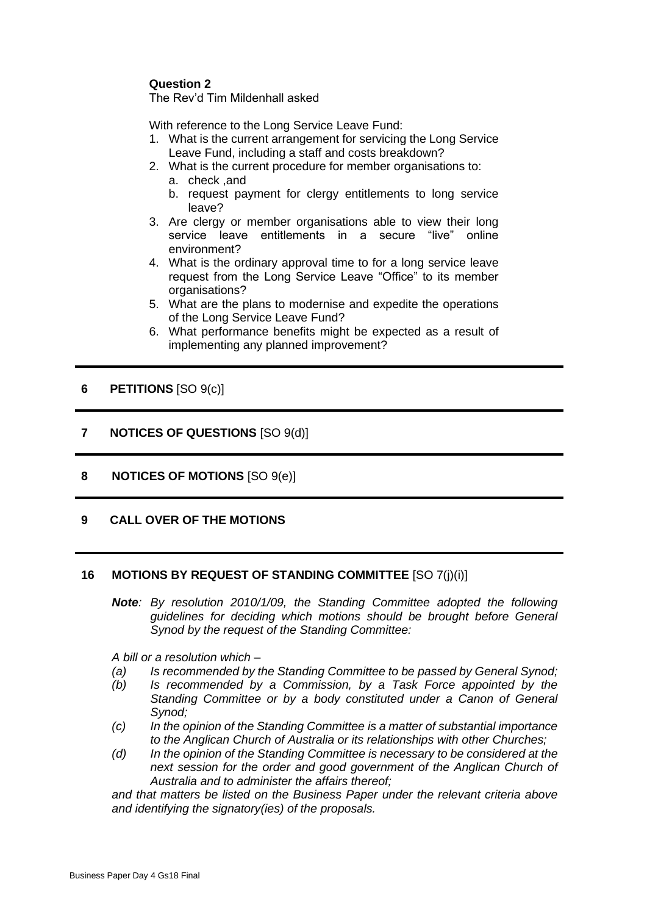## **Question 2**

The Rev'd Tim Mildenhall asked

With reference to the Long Service Leave Fund:

- 1. What is the current arrangement for servicing the Long Service Leave Fund, including a staff and costs breakdown?
- 2. What is the current procedure for member organisations to:
	- a. check ,and
	- b. request payment for clergy entitlements to long service leave?
- 3. Are clergy or member organisations able to view their long service leave entitlements in a secure "live" online environment?
- 4. What is the ordinary approval time to for a long service leave request from the Long Service Leave "Office" to its member organisations?
- 5. What are the plans to modernise and expedite the operations of the Long Service Leave Fund?
- 6. What performance benefits might be expected as a result of implementing any planned improvement?

## **6 PETITIONS** [SO 9(c)]

## **7 NOTICES OF QUESTIONS** [SO 9(d)]

**8 NOTICES OF MOTIONS** [SO 9(e)]

## **9 CALL OVER OF THE MOTIONS**

#### **16 MOTIONS BY REQUEST OF STANDING COMMITTEE** [SO 7(j)(i)]

*Note: By resolution 2010/1/09, the Standing Committee adopted the following guidelines for deciding which motions should be brought before General Synod by the request of the Standing Committee:*

*A bill or a resolution which –*

- *(a) Is recommended by the Standing Committee to be passed by General Synod;*
- *(b) Is recommended by a Commission, by a Task Force appointed by the Standing Committee or by a body constituted under a Canon of General Synod;*
- *(c) In the opinion of the Standing Committee is a matter of substantial importance to the Anglican Church of Australia or its relationships with other Churches;*
- *(d) In the opinion of the Standing Committee is necessary to be considered at the next session for the order and good government of the Anglican Church of Australia and to administer the affairs thereof;*

*and that matters be listed on the Business Paper under the relevant criteria above and identifying the signatory(ies) of the proposals.*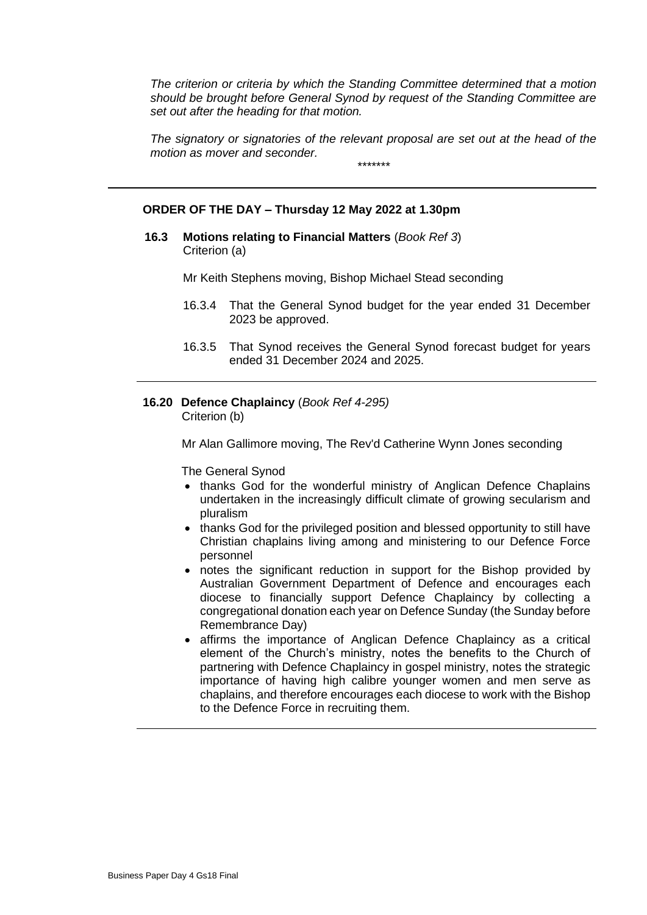*The criterion or criteria by which the Standing Committee determined that a motion should be brought before General Synod by request of the Standing Committee are set out after the heading for that motion.*

*The signatory or signatories of the relevant proposal are set out at the head of the motion as mover and seconder. \*\*\*\*\*\*\**

#### **ORDER OF THE DAY – Thursday 12 May 2022 at 1.30pm**

**16.3 Motions relating to Financial Matters** (*Book Ref 3*) Criterion (a)

Mr Keith Stephens moving, Bishop Michael Stead seconding

- 16.3.4 That the General Synod budget for the year ended 31 December 2023 be approved.
- 16.3.5 That Synod receives the General Synod forecast budget for years ended 31 December 2024 and 2025.
- **16.20 Defence Chaplaincy** (*Book Ref 4-295)* Criterion (b)

Mr Alan Gallimore moving, The Rev'd Catherine Wynn Jones seconding

The General Synod

- thanks God for the wonderful ministry of Anglican Defence Chaplains undertaken in the increasingly difficult climate of growing secularism and pluralism
- thanks God for the privileged position and blessed opportunity to still have Christian chaplains living among and ministering to our Defence Force personnel
- notes the significant reduction in support for the Bishop provided by Australian Government Department of Defence and encourages each diocese to financially support Defence Chaplaincy by collecting a congregational donation each year on Defence Sunday (the Sunday before Remembrance Day)
- affirms the importance of Anglican Defence Chaplaincy as a critical element of the Church's ministry, notes the benefits to the Church of partnering with Defence Chaplaincy in gospel ministry, notes the strategic importance of having high calibre younger women and men serve as chaplains, and therefore encourages each diocese to work with the Bishop to the Defence Force in recruiting them.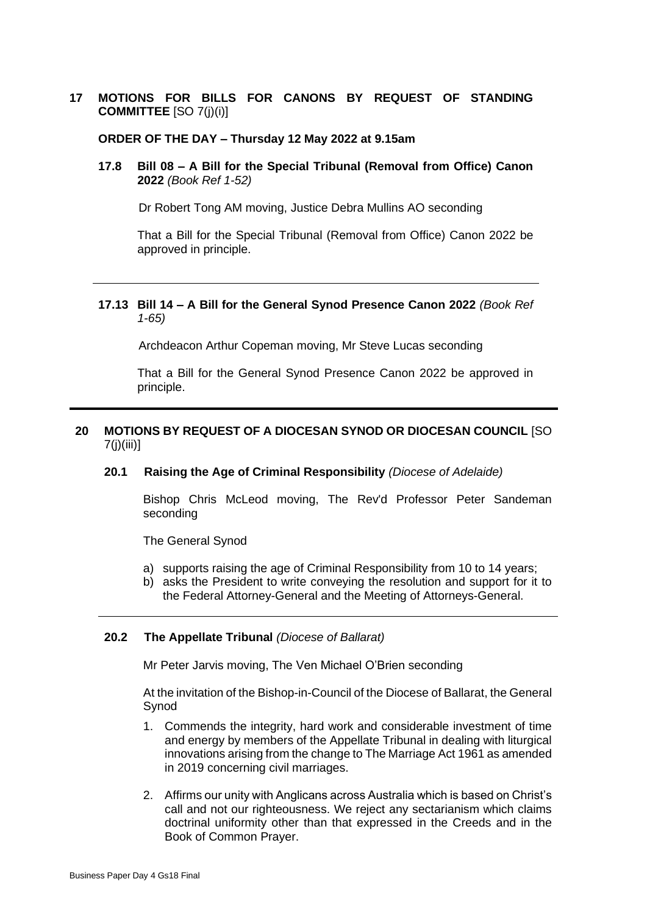## **17 MOTIONS FOR BILLS FOR CANONS BY REQUEST OF STANDING COMMITTEE** [SO 7(j)(i)]

#### **ORDER OF THE DAY – Thursday 12 May 2022 at 9.15am**

**17.8 Bill 08 – A Bill for the Special Tribunal (Removal from Office) Canon 2022** *(Book Ref 1-52)*

Dr Robert Tong AM moving, Justice Debra Mullins AO seconding

That a Bill for the Special Tribunal (Removal from Office) Canon 2022 be approved in principle.

#### **17.13 Bill 14 – A Bill for the General Synod Presence Canon 2022** *(Book Ref 1-65)*

Archdeacon Arthur Copeman moving, Mr Steve Lucas seconding

That a Bill for the General Synod Presence Canon 2022 be approved in principle.

## **20 MOTIONS BY REQUEST OF A DIOCESAN SYNOD OR DIOCESAN COUNCIL** [SO 7(j)(iii)]

## **20.1 Raising the Age of Criminal Responsibility** *(Diocese of Adelaide)*

Bishop Chris McLeod moving, The Rev'd Professor Peter Sandeman seconding

The General Synod

- a) supports raising the age of Criminal Responsibility from 10 to 14 years;
- b) asks the President to write conveying the resolution and support for it to the Federal Attorney-General and the Meeting of Attorneys-General.

#### **20.2 The Appellate Tribunal** *(Diocese of Ballarat)*

Mr Peter Jarvis moving, The Ven Michael O'Brien seconding

At the invitation of the Bishop-in-Council of the Diocese of Ballarat, the General Synod

- 1. Commends the integrity, hard work and considerable investment of time and energy by members of the Appellate Tribunal in dealing with liturgical innovations arising from the change to The Marriage Act 1961 as amended in 2019 concerning civil marriages.
- 2. Affirms our unity with Anglicans across Australia which is based on Christ's call and not our righteousness. We reject any sectarianism which claims doctrinal uniformity other than that expressed in the Creeds and in the Book of Common Prayer.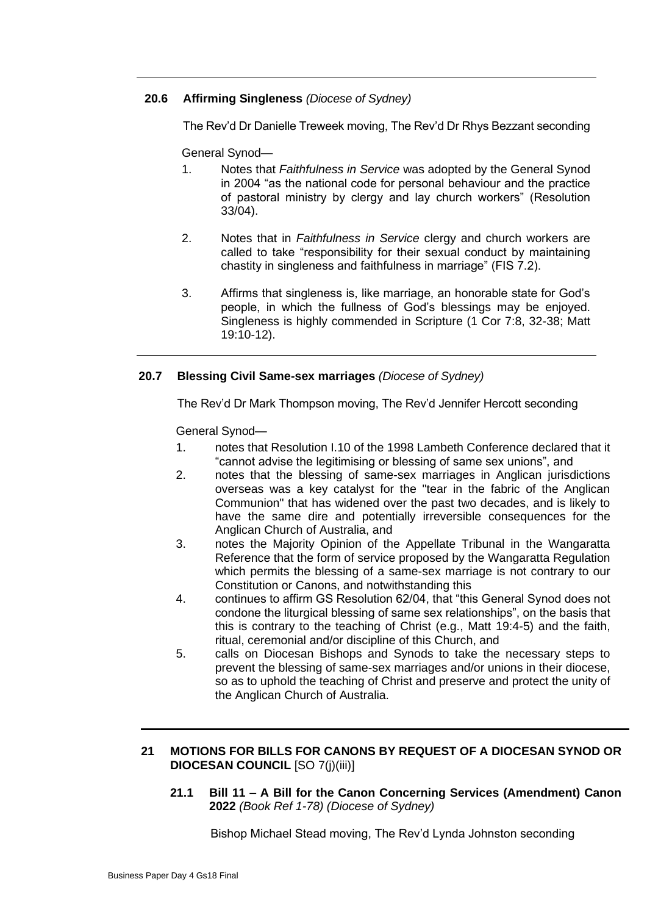## **20.6 Affirming Singleness** *(Diocese of Sydney)*

The Rev'd Dr Danielle Treweek moving, The Rev'd Dr Rhys Bezzant seconding

General Synod—

- 1. Notes that *Faithfulness in Service* was adopted by the General Synod in 2004 "as the national code for personal behaviour and the practice of pastoral ministry by clergy and lay church workers" (Resolution 33/04).
- 2. Notes that in *Faithfulness in Service* clergy and church workers are called to take "responsibility for their sexual conduct by maintaining chastity in singleness and faithfulness in marriage" (FIS 7.2).
- 3. Affirms that singleness is, like marriage, an honorable state for God's people, in which the fullness of God's blessings may be enjoyed. Singleness is highly commended in Scripture (1 Cor 7:8, 32-38; Matt 19:10-12).

## **20.7 Blessing Civil Same-sex marriages** *(Diocese of Sydney)*

The Rev'd Dr Mark Thompson moving, The Rev'd Jennifer Hercott seconding

General Synod—

- 1. notes that Resolution I.10 of the 1998 Lambeth Conference declared that it "cannot advise the legitimising or blessing of same sex unions", and
- 2. notes that the blessing of same-sex marriages in Anglican jurisdictions overseas was a key catalyst for the "tear in the fabric of the Anglican Communion" that has widened over the past two decades, and is likely to have the same dire and potentially irreversible consequences for the Anglican Church of Australia, and
- 3. notes the Majority Opinion of the Appellate Tribunal in the Wangaratta Reference that the form of service proposed by the Wangaratta Regulation which permits the blessing of a same-sex marriage is not contrary to our Constitution or Canons, and notwithstanding this
- 4. continues to affirm GS Resolution 62/04, that "this General Synod does not condone the liturgical blessing of same sex relationships", on the basis that this is contrary to the teaching of Christ (e.g., Matt 19:4-5) and the faith, ritual, ceremonial and/or discipline of this Church, and
- 5. calls on Diocesan Bishops and Synods to take the necessary steps to prevent the blessing of same-sex marriages and/or unions in their diocese, so as to uphold the teaching of Christ and preserve and protect the unity of the Anglican Church of Australia.

## **21 MOTIONS FOR BILLS FOR CANONS BY REQUEST OF A DIOCESAN SYNOD OR DIOCESAN COUNCIL** [SO 7(j)(iii)]

**21.1 Bill 11 – A Bill for the Canon Concerning Services (Amendment) Canon 2022** *(Book Ref 1-78) (Diocese of Sydney)*

Bishop Michael Stead moving, The Rev'd Lynda Johnston seconding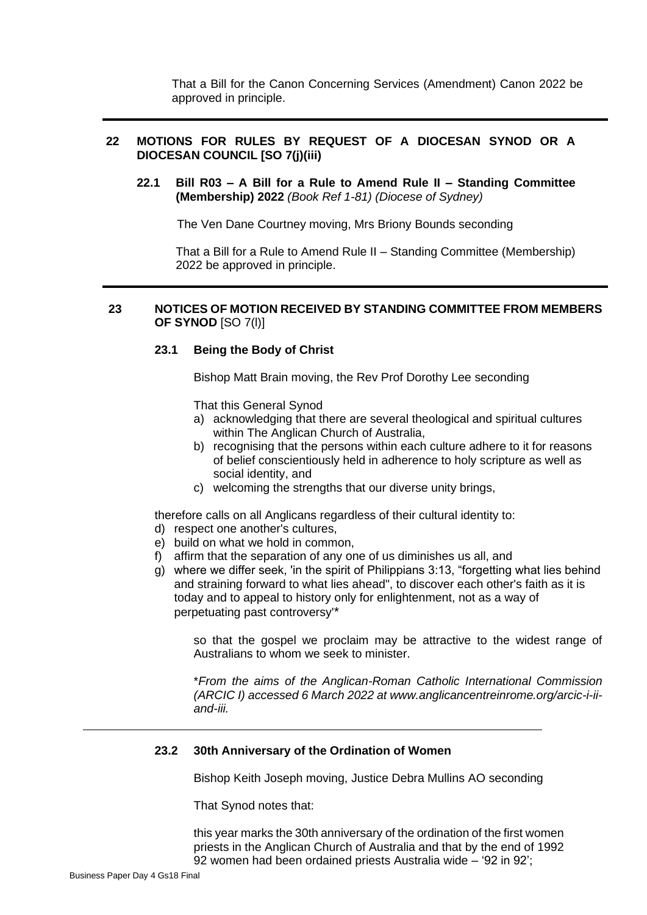That a Bill for the Canon Concerning Services (Amendment) Canon 2022 be approved in principle.

## **22 MOTIONS FOR RULES BY REQUEST OF A DIOCESAN SYNOD OR A DIOCESAN COUNCIL [SO 7(j)(iii)**

**22.1 Bill R03 – A Bill for a Rule to Amend Rule II – Standing Committee (Membership) 2022** *(Book Ref 1-81) (Diocese of Sydney)*

The Ven Dane Courtney moving, Mrs Briony Bounds seconding

That a Bill for a Rule to Amend Rule II – Standing Committee (Membership) 2022 be approved in principle.

#### **23 NOTICES OF MOTION RECEIVED BY STANDING COMMITTEE FROM MEMBERS OF SYNOD** [SO 7(l)]

#### **23.1 Being the Body of Christ**

Bishop Matt Brain moving, the Rev Prof Dorothy Lee seconding

That this General Synod

- a) acknowledging that there are several theological and spiritual cultures within The Anglican Church of Australia,
- b) recognising that the persons within each culture adhere to it for reasons of belief conscientiously held in adherence to holy scripture as well as social identity, and
- c) welcoming the strengths that our diverse unity brings,

therefore calls on all Anglicans regardless of their cultural identity to:

- d) respect one another's cultures,
- e) build on what we hold in common,
- f) affirm that the separation of any one of us diminishes us all, and
- g) where we differ seek, 'in the spirit of Philippians 3:13, "forgetting what lies behind and straining forward to what lies ahead", to discover each other's faith as it is today and to appeal to history only for enlightenment, not as a way of perpetuating past controversy'\*

so that the gospel we proclaim may be attractive to the widest range of Australians to whom we seek to minister.

\**From the aims of the Anglican-Roman Catholic International Commission (ARCIC I) accessed 6 March 2022 at www.anglicancentreinrome.org/arcic-i-iiand-iii.*

### **23.2 30th Anniversary of the Ordination of Women**

Bishop Keith Joseph moving, Justice Debra Mullins AO seconding

That Synod notes that:

this year marks the 30th anniversary of the ordination of the first women priests in the Anglican Church of Australia and that by the end of 1992 92 women had been ordained priests Australia wide – '92 in 92';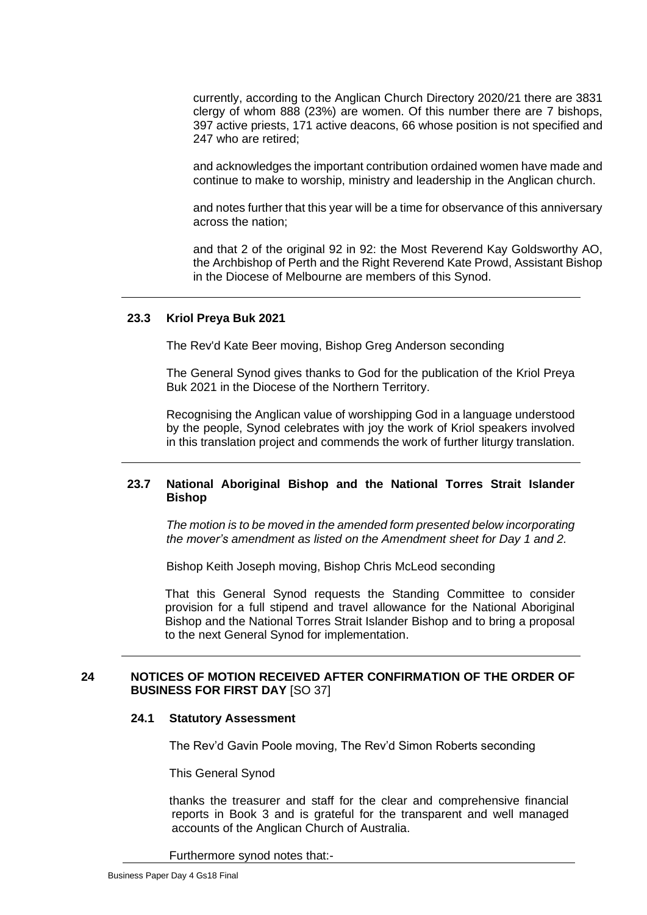currently, according to the Anglican Church Directory 2020/21 there are 3831 clergy of whom 888 (23%) are women. Of this number there are 7 bishops, 397 active priests, 171 active deacons, 66 whose position is not specified and 247 who are retired;

and acknowledges the important contribution ordained women have made and continue to make to worship, ministry and leadership in the Anglican church.

and notes further that this year will be a time for observance of this anniversary across the nation;

and that 2 of the original 92 in 92: the Most Reverend Kay Goldsworthy AO, the Archbishop of Perth and the Right Reverend Kate Prowd, Assistant Bishop in the Diocese of Melbourne are members of this Synod.

### **23.3 Kriol Preya Buk 2021**

The Rev'd Kate Beer moving, Bishop Greg Anderson seconding

The General Synod gives thanks to God for the publication of the Kriol Preya Buk 2021 in the Diocese of the Northern Territory.

Recognising the Anglican value of worshipping God in a language understood by the people, Synod celebrates with joy the work of Kriol speakers involved in this translation project and commends the work of further liturgy translation.

### **23.7 National Aboriginal Bishop and the National Torres Strait Islander Bishop**

*The motion is to be moved in the amended form presented below incorporating the mover's amendment as listed on the Amendment sheet for Day 1 and 2.*

Bishop Keith Joseph moving, Bishop Chris McLeod seconding

That this General Synod requests the Standing Committee to consider provision for a full stipend and travel allowance for the National Aboriginal Bishop and the National Torres Strait Islander Bishop and to bring a proposal to the next General Synod for implementation.

## **24 NOTICES OF MOTION RECEIVED AFTER CONFIRMATION OF THE ORDER OF BUSINESS FOR FIRST DAY** [SO 37]

#### **24.1 Statutory Assessment**

The Rev'd Gavin Poole moving, The Rev'd Simon Roberts seconding

This General Synod

thanks the treasurer and staff for the clear and comprehensive financial reports in Book 3 and is grateful for the transparent and well managed accounts of the Anglican Church of Australia.

Furthermore synod notes that:-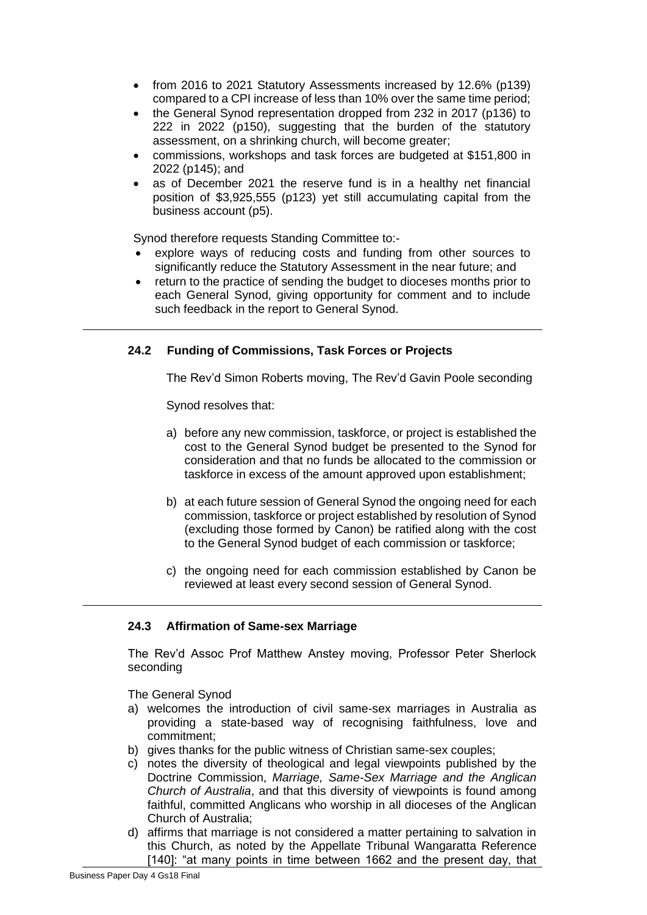- from 2016 to 2021 Statutory Assessments increased by 12.6% (p139) compared to a CPI increase of less than 10% over the same time period;
- the General Synod representation dropped from 232 in 2017 (p136) to 222 in 2022 (p150), suggesting that the burden of the statutory assessment, on a shrinking church, will become greater;
- commissions, workshops and task forces are budgeted at \$151,800 in 2022 (p145); and
- as of December 2021 the reserve fund is in a healthy net financial position of \$3,925,555 (p123) yet still accumulating capital from the business account (p5).

Synod therefore requests Standing Committee to:-

- explore ways of reducing costs and funding from other sources to significantly reduce the Statutory Assessment in the near future; and
- return to the practice of sending the budget to dioceses months prior to each General Synod, giving opportunity for comment and to include such feedback in the report to General Synod.

## **24.2 Funding of Commissions, Task Forces or Projects**

The Rev'd Simon Roberts moving, The Rev'd Gavin Poole seconding

Synod resolves that:

- a) before any new commission, taskforce, or project is established the cost to the General Synod budget be presented to the Synod for consideration and that no funds be allocated to the commission or taskforce in excess of the amount approved upon establishment;
- b) at each future session of General Synod the ongoing need for each commission, taskforce or project established by resolution of Synod (excluding those formed by Canon) be ratified along with the cost to the General Synod budget of each commission or taskforce;
- c) the ongoing need for each commission established by Canon be reviewed at least every second session of General Synod.

## **24.3 Affirmation of Same-sex Marriage**

The Rev'd Assoc Prof Matthew Anstey moving, Professor Peter Sherlock seconding

The General Synod

- a) welcomes the introduction of civil same-sex marriages in Australia as providing a state-based way of recognising faithfulness, love and commitment;
- b) gives thanks for the public witness of Christian same-sex couples;
- c) notes the diversity of theological and legal viewpoints published by the Doctrine Commission, *Marriage, Same-Sex Marriage and the Anglican Church of Australia*, and that this diversity of viewpoints is found among faithful, committed Anglicans who worship in all dioceses of the Anglican Church of Australia;
- d) affirms that marriage is not considered a matter pertaining to salvation in this Church, as noted by the Appellate Tribunal Wangaratta Reference [140]: "at many points in time between 1662 and the present day, that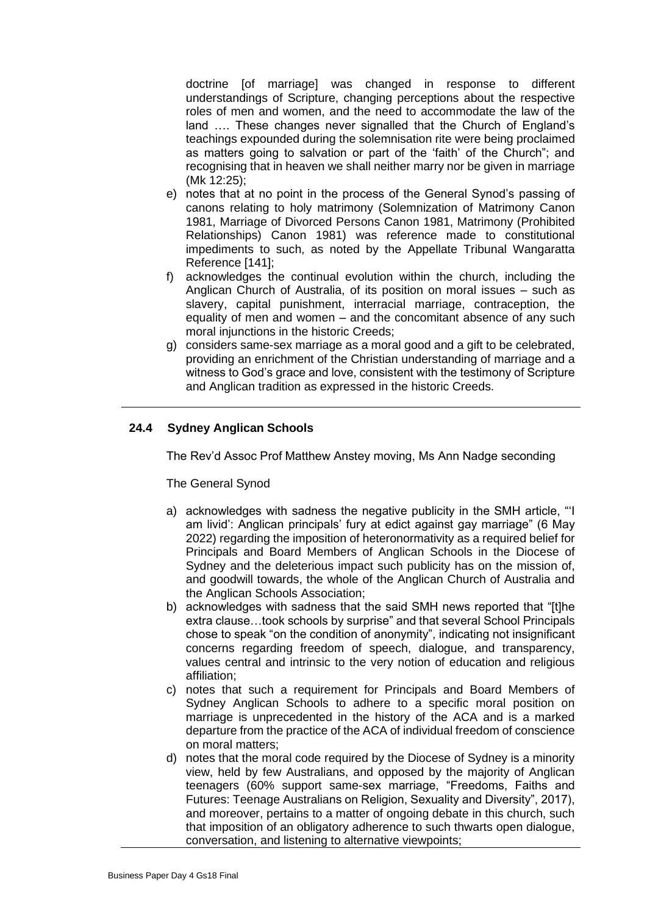doctrine [of marriage] was changed in response to different understandings of Scripture, changing perceptions about the respective roles of men and women, and the need to accommodate the law of the land …. These changes never signalled that the Church of England's teachings expounded during the solemnisation rite were being proclaimed as matters going to salvation or part of the 'faith' of the Church"; and recognising that in heaven we shall neither marry nor be given in marriage (Mk 12:25);

- e) notes that at no point in the process of the General Synod's passing of canons relating to holy matrimony (Solemnization of Matrimony Canon 1981, Marriage of Divorced Persons Canon 1981, Matrimony (Prohibited Relationships) Canon 1981) was reference made to constitutional impediments to such, as noted by the Appellate Tribunal Wangaratta Reference [141];
- f) acknowledges the continual evolution within the church, including the Anglican Church of Australia, of its position on moral issues – such as slavery, capital punishment, interracial marriage, contraception, the equality of men and women – and the concomitant absence of any such moral injunctions in the historic Creeds;
- g) considers same-sex marriage as a moral good and a gift to be celebrated, providing an enrichment of the Christian understanding of marriage and a witness to God's grace and love, consistent with the testimony of Scripture and Anglican tradition as expressed in the historic Creeds.

## **24.4 Sydney Anglican Schools**

The Rev'd Assoc Prof Matthew Anstey moving, Ms Ann Nadge seconding

#### The General Synod

- a) acknowledges with sadness the negative publicity in the SMH article, "'I am livid': Anglican principals' fury at edict against gay marriage" (6 May 2022) regarding the imposition of heteronormativity as a required belief for Principals and Board Members of Anglican Schools in the Diocese of Sydney and the deleterious impact such publicity has on the mission of, and goodwill towards, the whole of the Anglican Church of Australia and the Anglican Schools Association;
- b) acknowledges with sadness that the said SMH news reported that "[t]he extra clause…took schools by surprise" and that several School Principals chose to speak "on the condition of anonymity", indicating not insignificant concerns regarding freedom of speech, dialogue, and transparency, values central and intrinsic to the very notion of education and religious affiliation;
- c) notes that such a requirement for Principals and Board Members of Sydney Anglican Schools to adhere to a specific moral position on marriage is unprecedented in the history of the ACA and is a marked departure from the practice of the ACA of individual freedom of conscience on moral matters;
- d) notes that the moral code required by the Diocese of Sydney is a minority view, held by few Australians, and opposed by the majority of Anglican teenagers (60% support same-sex marriage, "Freedoms, Faiths and Futures: Teenage Australians on Religion, Sexuality and Diversity", 2017), and moreover, pertains to a matter of ongoing debate in this church, such that imposition of an obligatory adherence to such thwarts open dialogue, conversation, and listening to alternative viewpoints;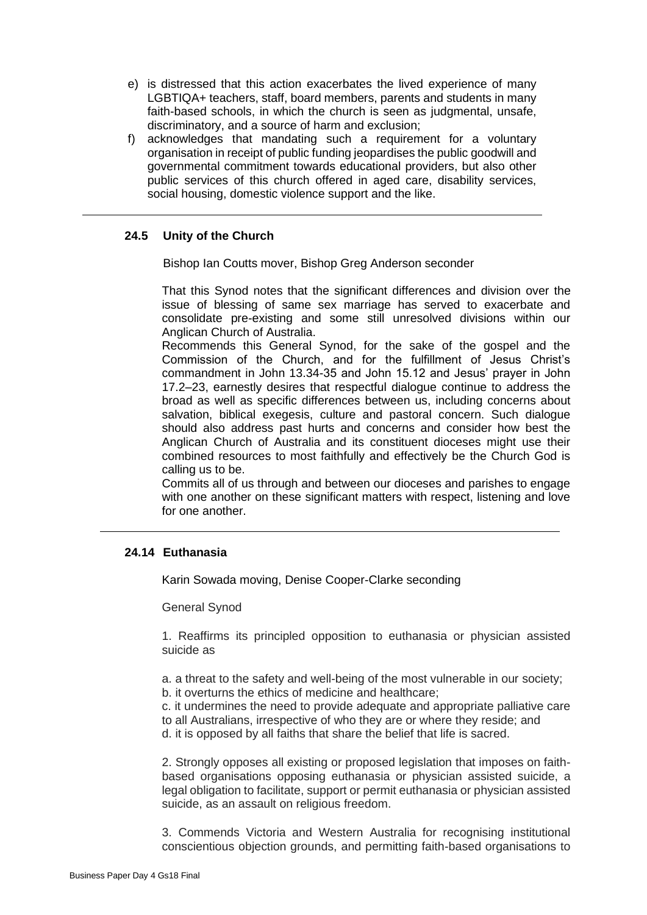- e) is distressed that this action exacerbates the lived experience of many LGBTIQA+ teachers, staff, board members, parents and students in many faith-based schools, in which the church is seen as judgmental, unsafe, discriminatory, and a source of harm and exclusion;
- f) acknowledges that mandating such a requirement for a voluntary organisation in receipt of public funding jeopardises the public goodwill and governmental commitment towards educational providers, but also other public services of this church offered in aged care, disability services, social housing, domestic violence support and the like.

## **24.5 Unity of the Church**

Bishop Ian Coutts mover, Bishop Greg Anderson seconder

That this Synod notes that the significant differences and division over the issue of blessing of same sex marriage has served to exacerbate and consolidate pre-existing and some still unresolved divisions within our Anglican Church of Australia.

Recommends this General Synod, for the sake of the gospel and the Commission of the Church, and for the fulfillment of Jesus Christ's commandment in John 13.34-35 and John 15.12 and Jesus' prayer in John 17.2–23, earnestly desires that respectful dialogue continue to address the broad as well as specific differences between us, including concerns about salvation, biblical exegesis, culture and pastoral concern. Such dialogue should also address past hurts and concerns and consider how best the Anglican Church of Australia and its constituent dioceses might use their combined resources to most faithfully and effectively be the Church God is calling us to be.

Commits all of us through and between our dioceses and parishes to engage with one another on these significant matters with respect, listening and love for one another.

## **24.14 Euthanasia**

Karin Sowada moving, Denise Cooper-Clarke seconding

General Synod

1. Reaffirms its principled opposition to euthanasia or physician assisted suicide as

a. a threat to the safety and well-being of the most vulnerable in our society;

b. it overturns the ethics of medicine and healthcare;

c. it undermines the need to provide adequate and appropriate palliative care to all Australians, irrespective of who they are or where they reside; and

d. it is opposed by all faiths that share the belief that life is sacred.

2. Strongly opposes all existing or proposed legislation that imposes on faithbased organisations opposing euthanasia or physician assisted suicide, a legal obligation to facilitate, support or permit euthanasia or physician assisted suicide, as an assault on religious freedom.

3. Commends Victoria and Western Australia for recognising institutional conscientious objection grounds, and permitting faith-based organisations to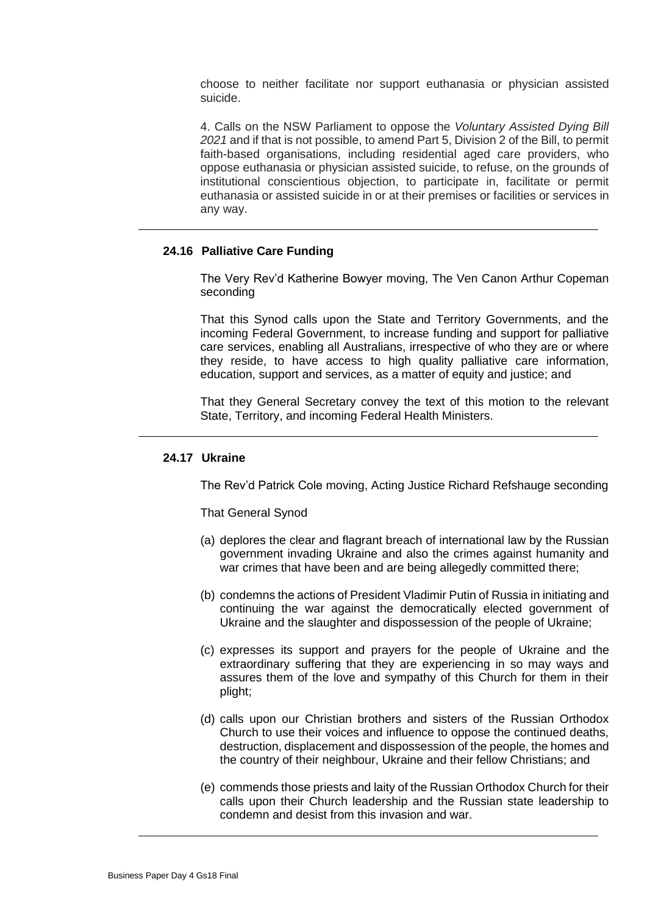choose to neither facilitate nor support euthanasia or physician assisted suicide.

4. Calls on the NSW Parliament to oppose the *Voluntary Assisted Dying Bill 2021* and if that is not possible, to amend Part 5, Division 2 of the Bill, to permit faith-based organisations, including residential aged care providers, who oppose euthanasia or physician assisted suicide, to refuse, on the grounds of institutional conscientious objection, to participate in, facilitate or permit euthanasia or assisted suicide in or at their premises or facilities or services in any way.

## **24.16 Palliative Care Funding**

The Very Rev'd Katherine Bowyer moving, The Ven Canon Arthur Copeman seconding

That this Synod calls upon the State and Territory Governments, and the incoming Federal Government, to increase funding and support for palliative care services, enabling all Australians, irrespective of who they are or where they reside, to have access to high quality palliative care information, education, support and services, as a matter of equity and justice; and

That they General Secretary convey the text of this motion to the relevant State, Territory, and incoming Federal Health Ministers.

## **24.17 Ukraine**

The Rev'd Patrick Cole moving, Acting Justice Richard Refshauge seconding

That General Synod

- (a) deplores the clear and flagrant breach of international law by the Russian government invading Ukraine and also the crimes against humanity and war crimes that have been and are being allegedly committed there;
- (b) condemns the actions of President Vladimir Putin of Russia in initiating and continuing the war against the democratically elected government of Ukraine and the slaughter and dispossession of the people of Ukraine;
- (c) expresses its support and prayers for the people of Ukraine and the extraordinary suffering that they are experiencing in so may ways and assures them of the love and sympathy of this Church for them in their plight;
- (d) calls upon our Christian brothers and sisters of the Russian Orthodox Church to use their voices and influence to oppose the continued deaths, destruction, displacement and dispossession of the people, the homes and the country of their neighbour, Ukraine and their fellow Christians; and
- (e) commends those priests and laity of the Russian Orthodox Church for their calls upon their Church leadership and the Russian state leadership to condemn and desist from this invasion and war.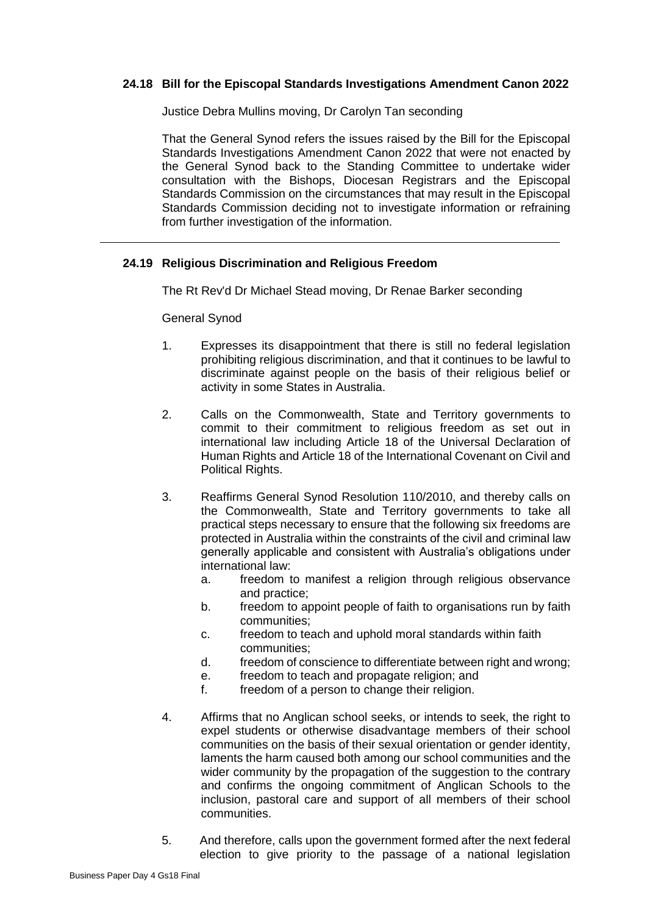## **24.18 Bill for the Episcopal Standards Investigations Amendment Canon 2022**

Justice Debra Mullins moving, Dr Carolyn Tan seconding

That the General Synod refers the issues raised by the Bill for the Episcopal Standards Investigations Amendment Canon 2022 that were not enacted by the General Synod back to the Standing Committee to undertake wider consultation with the Bishops, Diocesan Registrars and the Episcopal Standards Commission on the circumstances that may result in the Episcopal Standards Commission deciding not to investigate information or refraining from further investigation of the information.

### **24.19 Religious Discrimination and Religious Freedom**

The Rt Rev'd Dr Michael Stead moving, Dr Renae Barker seconding

#### General Synod

- 1. Expresses its disappointment that there is still no federal legislation prohibiting religious discrimination, and that it continues to be lawful to discriminate against people on the basis of their religious belief or activity in some States in Australia.
- 2. Calls on the Commonwealth, State and Territory governments to commit to their commitment to religious freedom as set out in international law including Article 18 of the Universal Declaration of Human Rights and Article 18 of the International Covenant on Civil and Political Rights.
- 3. Reaffirms General Synod Resolution 110/2010, and thereby calls on the Commonwealth, State and Territory governments to take all practical steps necessary to ensure that the following six freedoms are protected in Australia within the constraints of the civil and criminal law generally applicable and consistent with Australia's obligations under international law:
	- a. freedom to manifest a religion through religious observance and practice;
	- b. freedom to appoint people of faith to organisations run by faith communities;
	- c. freedom to teach and uphold moral standards within faith communities;
	- d. freedom of conscience to differentiate between right and wrong;
	- e. freedom to teach and propagate religion; and
	- f. freedom of a person to change their religion.
- 4. Affirms that no Anglican school seeks, or intends to seek, the right to expel students or otherwise disadvantage members of their school communities on the basis of their sexual orientation or gender identity, laments the harm caused both among our school communities and the wider community by the propagation of the suggestion to the contrary and confirms the ongoing commitment of Anglican Schools to the inclusion, pastoral care and support of all members of their school communities.
- 5. And therefore, calls upon the government formed after the next federal election to give priority to the passage of a national legislation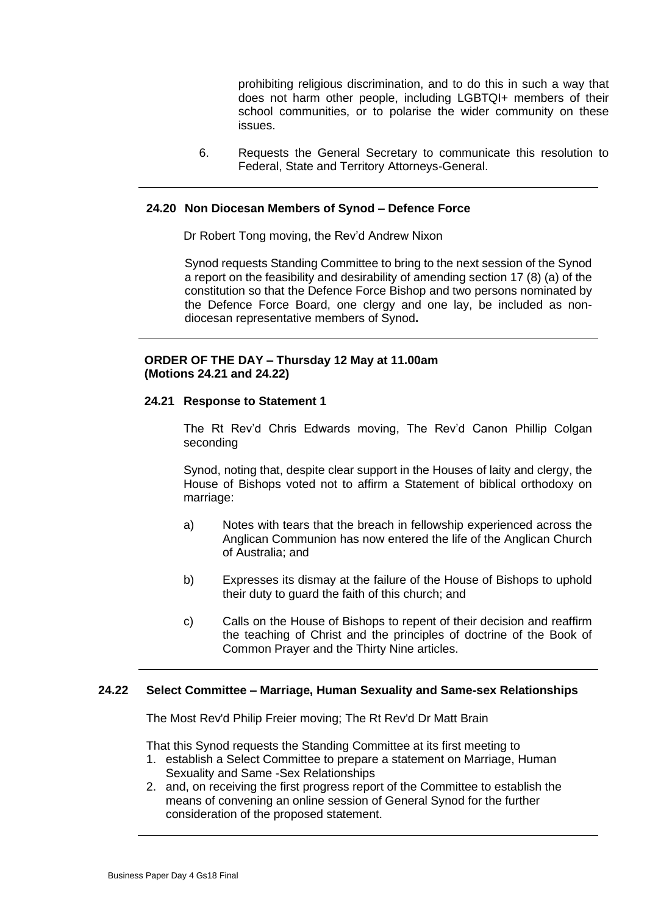prohibiting religious discrimination, and to do this in such a way that does not harm other people, including LGBTQI+ members of their school communities, or to polarise the wider community on these issues.

6. Requests the General Secretary to communicate this resolution to Federal, State and Territory Attorneys-General.

#### **24.20 Non Diocesan Members of Synod – Defence Force**

Dr Robert Tong moving, the Rev'd Andrew Nixon

Synod requests Standing Committee to bring to the next session of the Synod a report on the feasibility and desirability of amending section 17 (8) (a) of the constitution so that the Defence Force Bishop and two persons nominated by the Defence Force Board, one clergy and one lay, be included as nondiocesan representative members of Synod**.**

### **ORDER OF THE DAY – Thursday 12 May at 11.00am (Motions 24.21 and 24.22)**

#### **24.21 Response to Statement 1**

The Rt Rev'd Chris Edwards moving, The Rev'd Canon Phillip Colgan seconding

Synod, noting that, despite clear support in the Houses of laity and clergy, the House of Bishops voted not to affirm a Statement of biblical orthodoxy on marriage:

- a) Notes with tears that the breach in fellowship experienced across the Anglican Communion has now entered the life of the Anglican Church of Australia; and
- b) Expresses its dismay at the failure of the House of Bishops to uphold their duty to guard the faith of this church; and
- c) Calls on the House of Bishops to repent of their decision and reaffirm the teaching of Christ and the principles of doctrine of the Book of Common Prayer and the Thirty Nine articles.

#### **24.22 Select Committee – Marriage, Human Sexuality and Same-sex Relationships**

The Most Rev'd Philip Freier moving; The Rt Rev'd Dr Matt Brain

That this Synod requests the Standing Committee at its first meeting to

- 1. establish a Select Committee to prepare a statement on Marriage, Human Sexuality and Same -Sex Relationships
- 2. and, on receiving the first progress report of the Committee to establish the means of convening an online session of General Synod for the further consideration of the proposed statement.